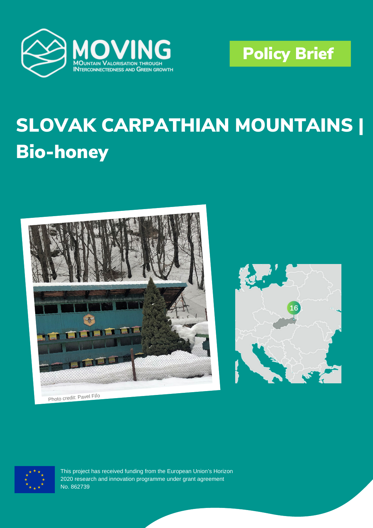



# **SLOVAK CARPATHIAN MOUNTAINS | Bio-honey**



Photo credit: Pavel Fil'o





This project has received funding from the European Union's Horizon 2020 research and innovation programme under grant agreement No. 862739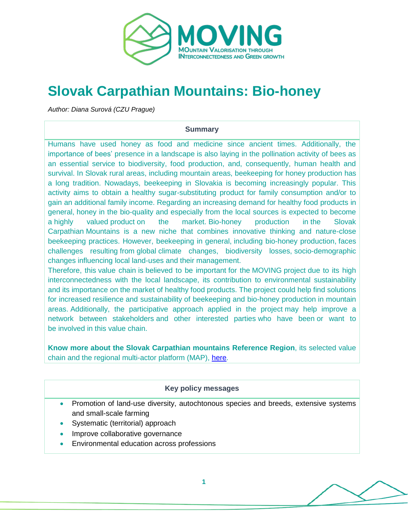

# **Slovak Carpathian Mountains: Bio-honey**

*Author: Diana Surová (CZU Prague)*

#### **Summary**

Humans have used honey as food and medicine since ancient times. Additionally, the importance of bees' presence in a landscape is also laying in the pollination activity of bees as an essential service to biodiversity, food production, and, consequently, human health and survival. In Slovak rural areas, including mountain areas, beekeeping for honey production has a long tradition. Nowadays, beekeeping in Slovakia is becoming increasingly popular. This activity aims to obtain a healthy sugar-substituting product for family consumption and/or to gain an additional family income. Regarding an increasing demand for healthy food products in general, honey in the bio-quality and especially from the local sources is expected to become a highly valued product on the market. Bio-honey production in the Slovak Carpathian Mountains is a new niche that combines innovative thinking and nature-close beekeeping practices. However, beekeeping in general, including bio-honey production, faces challenges resulting from global climate changes, biodiversity losses, socio-demographic changes influencing local land-uses and their management.

Therefore, this value chain is believed to be important for the [MOVING](https://www.moving-h2020.eu/) project due to its high interconnectedness with the local landscape, its contribution to environmental sustainability and its importance on the market of healthy food products. The project could help find solutions for increased resilience and sustainability of beekeeping and bio-honey production in mountain areas. Additionally, the participative approach applied in the project may help improve a network between stakeholders and other interested parties who have been or want to be involved in this value chain.

**Know more about the Slovak Carpathian mountains Reference Region**, its selected value chain and the regional multi-actor platform (MAP), [here.](https://www.moving-h2020.eu/reference_regions/slovak-carpathian-mountains-slovakia/)

#### **Key policy messages**

- Promotion of land-use diversity, autochtonous species and breeds, extensive systems and small-scale farming
- Systematic (territorial) approach
- Improve collaborative governance
- **Environmental education across professions**

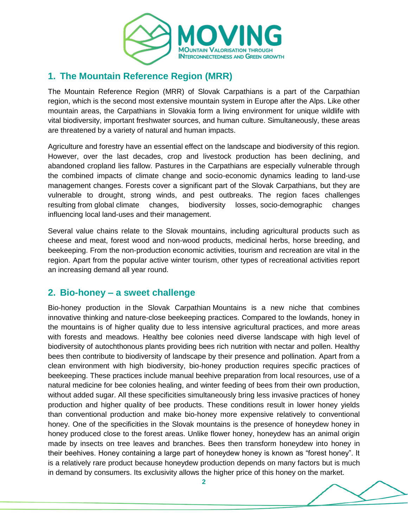

# **1. The Mountain Reference Region (MRR)**

The Mountain Reference Region (MRR) of Slovak Carpathians is a part of the Carpathian region, which is the second most extensive mountain system in Europe after the Alps. Like other mountain areas, the Carpathians in Slovakia form a living environment for unique wildlife with vital biodiversity, important freshwater sources, and human culture. Simultaneously, these areas are threatened by a variety of natural and human impacts.

Agriculture and forestry have an essential effect on the landscape and biodiversity of this region. However, over the last decades, crop and livestock production has been declining, and abandoned cropland lies fallow. Pastures in the Carpathians are especially vulnerable through the combined impacts of climate change and socio-economic dynamics leading to land-use management changes. Forests cover a significant part of the Slovak Carpathians, but they are vulnerable to drought, strong winds, and pest outbreaks. The region faces challenges resulting from global climate changes, biodiversity losses, socio-demographic changes influencing local land-uses and their management.

Several value chains relate to the Slovak mountains, including agricultural products such as cheese and meat, forest wood and non-wood products, medicinal herbs, horse breeding, and beekeeping. From the non-production economic activities, tourism and recreation are vital in the region. Apart from the popular active winter tourism, other types of recreational activities report an increasing demand all year round.

## **2. Bio-honey – a sweet challenge**

Bio-honey production in the Slovak Carpathian Mountains is a new niche that combines innovative thinking and nature-close beekeeping practices. Compared to the lowlands, honey in the mountains is of higher quality due to less intensive agricultural practices, and more areas with forests and meadows. Healthy bee colonies need diverse landscape with high level of biodiversity of autochthonous plants providing bees rich nutrition with nectar and pollen. Healthy bees then contribute to biodiversity of landscape by their presence and pollination. Apart from a clean environment with high biodiversity, bio-honey production requires specific practices of beekeeping. These practices include manual beehive preparation from local resources, use of a natural medicine for bee colonies healing, and winter feeding of bees from their own production, without added sugar. All these specificities simultaneously bring less invasive practices of honey production and higher quality of bee products. These conditions result in lower honey yields than conventional production and make bio-honey more expensive relatively to conventional honey. One of the specificities in the Slovak mountains is the presence of honeydew honey in honey produced close to the forest areas. Unlike flower honey, honeydew has an animal origin made by insects on tree leaves and branches. Bees then transform honeydew into honey in their beehives. Honey containing a large part of honeydew honey is known as "forest honey". It is a relatively rare product because honeydew production depends on many factors but is much in demand by consumers. Its exclusivity allows the higher price of this honey on the market.

**2**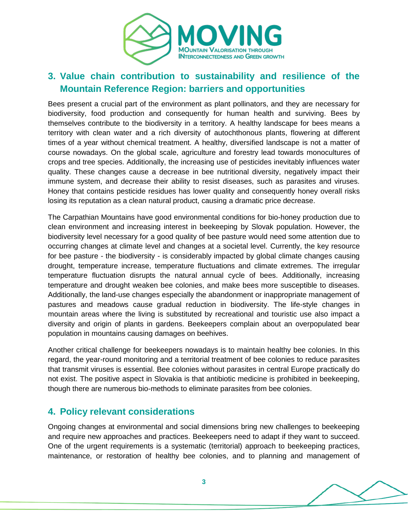

# **3. Value chain contribution to sustainability and resilience of the Mountain Reference Region: barriers and opportunities**

Bees present a crucial part of the environment as plant pollinators, and they are necessary for biodiversity, food production and consequently for human health and surviving. Bees by themselves contribute to the biodiversity in a territory. A healthy landscape for bees means a territory with clean water and a rich diversity of autochthonous plants, flowering at different times of a year without chemical treatment. A healthy, diversified landscape is not a matter of course nowadays. On the global scale, agriculture and forestry lead towards monocultures of crops and tree species. Additionally, the increasing use of pesticides inevitably influences water quality. These changes cause a decrease in bee nutritional diversity, negatively impact their immune system, and decrease their ability to resist diseases, such as parasites and viruses. Honey that contains pesticide residues has lower quality and consequently honey overall risks losing its reputation as a clean natural product, causing a dramatic price decrease.

The Carpathian Mountains have good environmental conditions for bio-honey production due to clean environment and increasing interest in beekeeping by Slovak population. However, the biodiversity level necessary for a good quality of bee pasture would need some attention due to occurring changes at climate level and changes at a societal level. Currently, the key resource for bee pasture - the biodiversity - is considerably impacted by global climate changes causing drought, temperature increase, temperature fluctuations and climate extremes. The irregular temperature fluctuation disrupts the natural annual cycle of bees. Additionally, increasing temperature and drought weaken bee colonies, and make bees more susceptible to diseases. Additionally, the land-use changes especially the abandonment or inappropriate management of pastures and meadows cause gradual reduction in biodiversity. The life-style changes in mountain areas where the living is substituted by recreational and touristic use also impact a diversity and origin of plants in gardens. Beekeepers complain about an overpopulated bear population in mountains causing damages on beehives.

Another critical challenge for beekeepers nowadays is to maintain healthy bee colonies. In this regard, the year-round monitoring and a territorial treatment of bee colonies to reduce parasites that transmit viruses is essential. Bee colonies without parasites in central Europe practically do not exist. The positive aspect in Slovakia is that antibiotic medicine is prohibited in beekeeping, though there are numerous bio-methods to eliminate parasites from bee colonies.

## **4. Policy relevant considerations**

Ongoing changes at environmental and social dimensions bring new challenges to beekeeping and require new approaches and practices. Beekeepers need to adapt if they want to succeed. One of the urgent requirements is a systematic (territorial) approach to beekeeping practices, maintenance, or restoration of healthy bee colonies, and to planning and management of